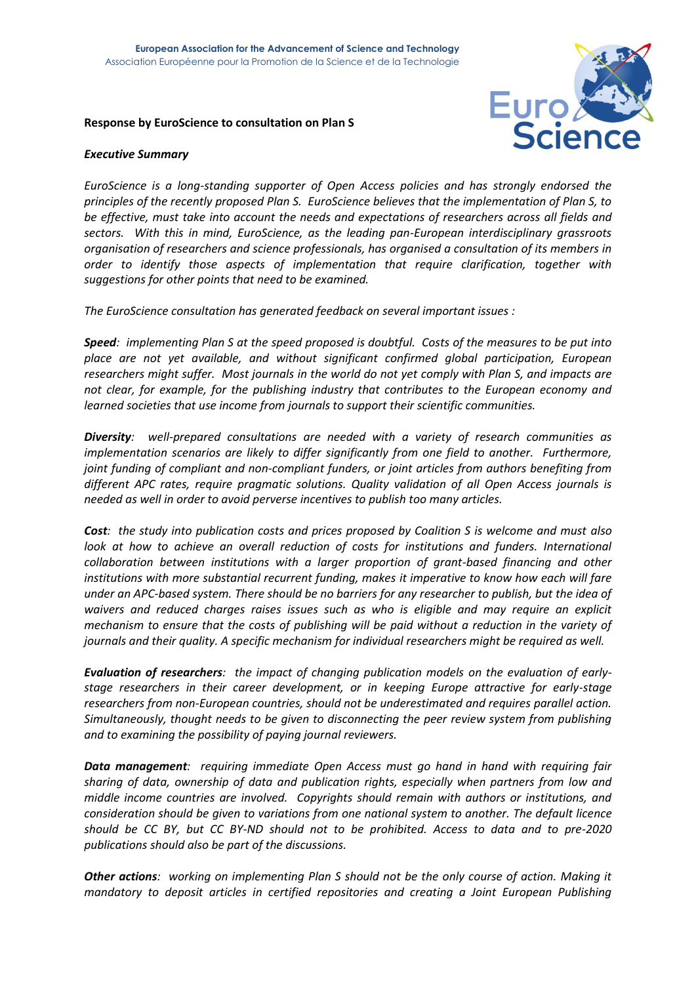### **Response by EuroScience to consultation on Plan S**



# *Executive Summary*

*EuroScience is a long-standing supporter of Open Access policies and has strongly endorsed the principles of the recently proposed Plan S. EuroScience believes that the implementation of Plan S, to be effective, must take into account the needs and expectations of researchers across all fields and sectors. With this in mind, EuroScience, as the leading pan-European interdisciplinary grassroots organisation of researchers and science professionals, has organised a consultation of its members in order to identify those aspects of implementation that require clarification, together with suggestions for other points that need to be examined.* 

*The EuroScience consultation has generated feedback on several important issues :*

*Speed: implementing Plan S at the speed proposed is doubtful. Costs of the measures to be put into place are not yet available, and without significant confirmed global participation, European researchers might suffer. Most journals in the world do not yet comply with Plan S, and impacts are not clear, for example, for the publishing industry that contributes to the European economy and learned societies that use income from journals to support their scientific communities.* 

*Diversity: well-prepared consultations are needed with a variety of research communities as implementation scenarios are likely to differ significantly from one field to another. Furthermore, joint funding of compliant and non-compliant funders, or joint articles from authors benefiting from different APC rates, require pragmatic solutions. Quality validation of all Open Access journals is needed as well in order to avoid perverse incentives to publish too many articles.*

*Cost: the study into publication costs and prices proposed by Coalition S is welcome and must also look at how to achieve an overall reduction of costs for institutions and funders. International collaboration between institutions with a larger proportion of grant-based financing and other institutions with more substantial recurrent funding, makes it imperative to know how each will fare under an APC-based system. There should be no barriers for any researcher to publish, but the idea of waivers and reduced charges raises issues such as who is eligible and may require an explicit mechanism to ensure that the costs of publishing will be paid without a reduction in the variety of journals and their quality. A specific mechanism for individual researchers might be required as well.*

*Evaluation of researchers: the impact of changing publication models on the evaluation of earlystage researchers in their career development, or in keeping Europe attractive for early-stage researchers from non-European countries, should not be underestimated and requires parallel action. Simultaneously, thought needs to be given to disconnecting the peer review system from publishing and to examining the possibility of paying journal reviewers.* 

*Data management: requiring immediate Open Access must go hand in hand with requiring fair sharing of data, ownership of data and publication rights, especially when partners from low and middle income countries are involved. Copyrights should remain with authors or institutions, and consideration should be given to variations from one national system to another. The default licence should be CC BY, but CC BY-ND should not to be prohibited. Access to data and to pre-2020 publications should also be part of the discussions.*

*Other actions: working on implementing Plan S should not be the only course of action. Making it mandatory to deposit articles in certified repositories and creating a Joint European Publishing*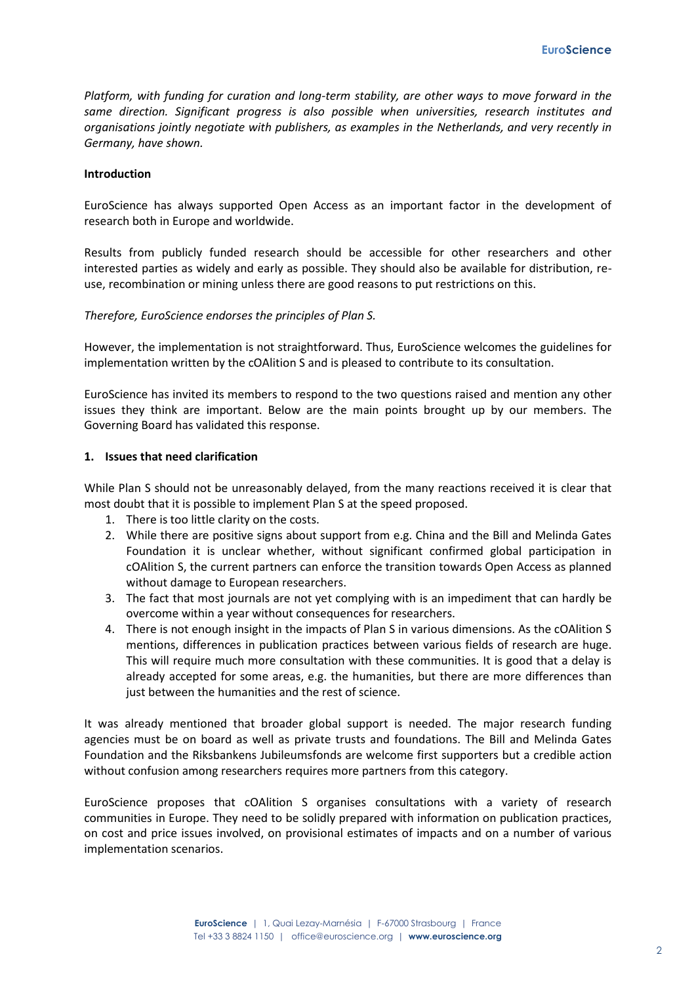*Platform, with funding for curation and long-term stability, are other ways to move forward in the same direction. Significant progress is also possible when universities, research institutes and organisations jointly negotiate with publishers, as examples in the Netherlands, and very recently in Germany, have shown.*

### **Introduction**

EuroScience has always supported Open Access as an important factor in the development of research both in Europe and worldwide.

Results from publicly funded research should be accessible for other researchers and other interested parties as widely and early as possible. They should also be available for distribution, reuse, recombination or mining unless there are good reasons to put restrictions on this.

# *Therefore, EuroScience endorses the principles of Plan S.*

However, the implementation is not straightforward. Thus, EuroScience welcomes the guidelines for implementation written by the cOAlition S and is pleased to contribute to its consultation.

EuroScience has invited its members to respond to the two questions raised and mention any other issues they think are important. Below are the main points brought up by our members. The Governing Board has validated this response.

### **1. Issues that need clarification**

While Plan S should not be unreasonably delayed, from the many reactions received it is clear that most doubt that it is possible to implement Plan S at the speed proposed.

- 1. There is too little clarity on the costs.
- 2. While there are positive signs about support from e.g. China and the Bill and Melinda Gates Foundation it is unclear whether, without significant confirmed global participation in cOAlition S, the current partners can enforce the transition towards Open Access as planned without damage to European researchers.
- 3. The fact that most journals are not yet complying with is an impediment that can hardly be overcome within a year without consequences for researchers.
- 4. There is not enough insight in the impacts of Plan S in various dimensions. As the cOAlition S mentions, differences in publication practices between various fields of research are huge. This will require much more consultation with these communities. It is good that a delay is already accepted for some areas, e.g. the humanities, but there are more differences than just between the humanities and the rest of science.

It was already mentioned that broader global support is needed. The major research funding agencies must be on board as well as private trusts and foundations. The Bill and Melinda Gates Foundation and the Riksbankens Jubileumsfonds are welcome first supporters but a credible action without confusion among researchers requires more partners from this category.

EuroScience proposes that cOAlition S organises consultations with a variety of research communities in Europe. They need to be solidly prepared with information on publication practices, on cost and price issues involved, on provisional estimates of impacts and on a number of various implementation scenarios.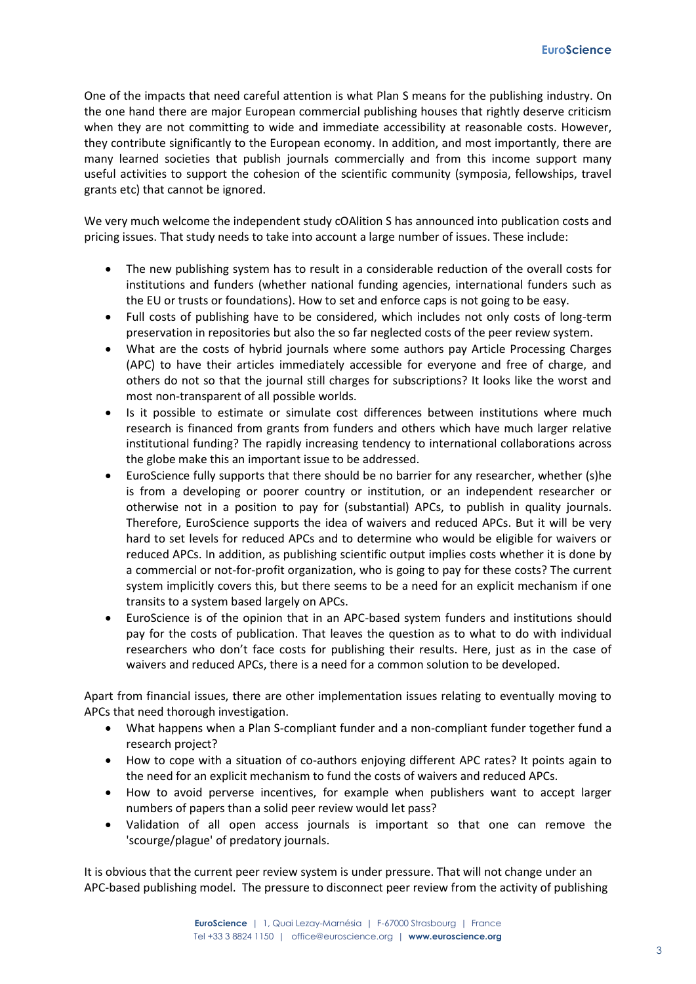One of the impacts that need careful attention is what Plan S means for the publishing industry. On the one hand there are major European commercial publishing houses that rightly deserve criticism when they are not committing to wide and immediate accessibility at reasonable costs. However, they contribute significantly to the European economy. In addition, and most importantly, there are many learned societies that publish journals commercially and from this income support many useful activities to support the cohesion of the scientific community (symposia, fellowships, travel grants etc) that cannot be ignored.

We very much welcome the independent study cOAlition S has announced into publication costs and pricing issues. That study needs to take into account a large number of issues. These include:

- The new publishing system has to result in a considerable reduction of the overall costs for institutions and funders (whether national funding agencies, international funders such as the EU or trusts or foundations). How to set and enforce caps is not going to be easy.
- Full costs of publishing have to be considered, which includes not only costs of long-term preservation in repositories but also the so far neglected costs of the peer review system.
- What are the costs of hybrid journals where some authors pay Article Processing Charges (APC) to have their articles immediately accessible for everyone and free of charge, and others do not so that the journal still charges for subscriptions? It looks like the worst and most non-transparent of all possible worlds.
- Is it possible to estimate or simulate cost differences between institutions where much research is financed from grants from funders and others which have much larger relative institutional funding? The rapidly increasing tendency to international collaborations across the globe make this an important issue to be addressed.
- EuroScience fully supports that there should be no barrier for any researcher, whether (s)he is from a developing or poorer country or institution, or an independent researcher or otherwise not in a position to pay for (substantial) APCs, to publish in quality journals. Therefore, EuroScience supports the idea of waivers and reduced APCs. But it will be very hard to set levels for reduced APCs and to determine who would be eligible for waivers or reduced APCs. In addition, as publishing scientific output implies costs whether it is done by a commercial or not-for-profit organization, who is going to pay for these costs? The current system implicitly covers this, but there seems to be a need for an explicit mechanism if one transits to a system based largely on APCs.
- EuroScience is of the opinion that in an APC-based system funders and institutions should pay for the costs of publication. That leaves the question as to what to do with individual researchers who don't face costs for publishing their results. Here, just as in the case of waivers and reduced APCs, there is a need for a common solution to be developed.

Apart from financial issues, there are other implementation issues relating to eventually moving to APCs that need thorough investigation.

- What happens when a Plan S-compliant funder and a non-compliant funder together fund a research project?
- How to cope with a situation of co-authors enjoying different APC rates? It points again to the need for an explicit mechanism to fund the costs of waivers and reduced APCs.
- How to avoid perverse incentives, for example when publishers want to accept larger numbers of papers than a solid peer review would let pass?
- Validation of all open access journals is important so that one can remove the 'scourge/plague' of predatory journals.

It is obvious that the current peer review system is under pressure. That will not change under an APC-based publishing model. The pressure to disconnect peer review from the activity of publishing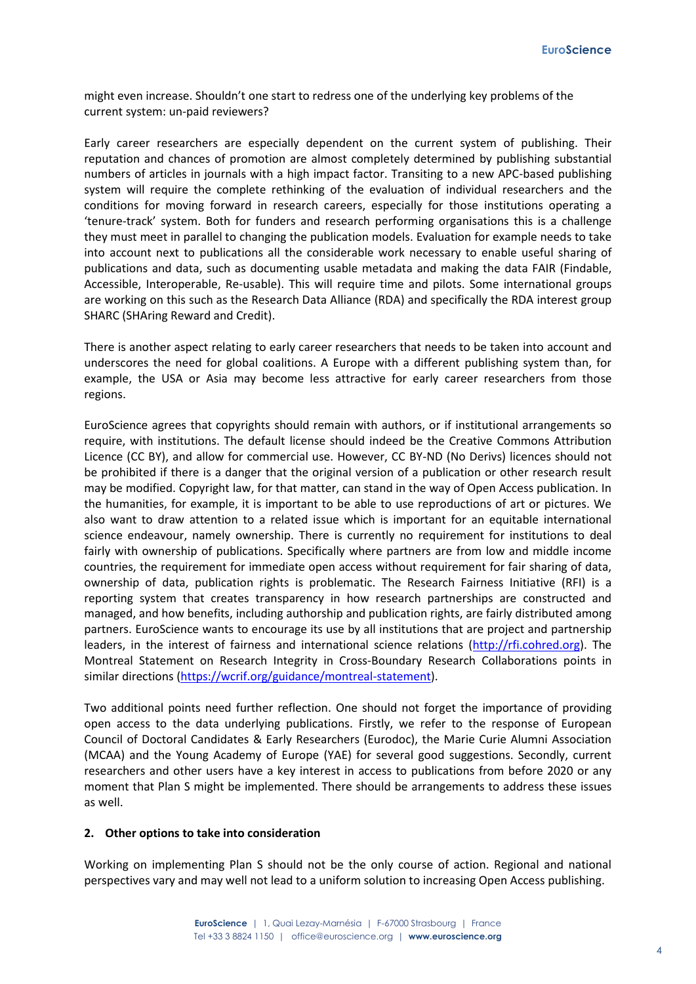might even increase. Shouldn't one start to redress one of the underlying key problems of the current system: un-paid reviewers?

Early career researchers are especially dependent on the current system of publishing. Their reputation and chances of promotion are almost completely determined by publishing substantial numbers of articles in journals with a high impact factor. Transiting to a new APC-based publishing system will require the complete rethinking of the evaluation of individual researchers and the conditions for moving forward in research careers, especially for those institutions operating a 'tenure-track' system. Both for funders and research performing organisations this is a challenge they must meet in parallel to changing the publication models. Evaluation for example needs to take into account next to publications all the considerable work necessary to enable useful sharing of publications and data, such as documenting usable metadata and making the data FAIR (Findable, Accessible, Interoperable, Re-usable). This will require time and pilots. Some international groups are working on this such as the Research Data Alliance (RDA) and specifically the RDA interest group SHARC (SHAring Reward and Credit).

There is another aspect relating to early career researchers that needs to be taken into account and underscores the need for global coalitions. A Europe with a different publishing system than, for example, the USA or Asia may become less attractive for early career researchers from those regions.

EuroScience agrees that copyrights should remain with authors, or if institutional arrangements so require, with institutions. The default license should indeed be the Creative Commons Attribution Licence (CC BY), and allow for commercial use. However, CC BY-ND (No Derivs) licences should not be prohibited if there is a danger that the original version of a publication or other research result may be modified. Copyright law, for that matter, can stand in the way of Open Access publication. In the humanities, for example, it is important to be able to use reproductions of art or pictures. We also want to draw attention to a related issue which is important for an equitable international science endeavour, namely ownership. There is currently no requirement for institutions to deal fairly with ownership of publications. Specifically where partners are from low and middle income countries, the requirement for immediate open access without requirement for fair sharing of data, ownership of data, publication rights is problematic. The Research Fairness Initiative (RFI) is a reporting system that creates transparency in how research partnerships are constructed and managed, and how benefits, including authorship and publication rights, are fairly distributed among partners. EuroScience wants to encourage its use by all institutions that are project and partnership leaders, in the interest of fairness and international science relations [\(http://rfi.cohred.org\)](http://rfi.cohred.org/). The Montreal Statement on Research Integrity in Cross-Boundary Research Collaborations points in similar directions [\(https://wcrif.org/guidance/montreal-statement\)](https://wcrif.org/guidance/montreal-statement).

Two additional points need further reflection. One should not forget the importance of providing open access to the data underlying publications. Firstly, we refer to the response of European Council of Doctoral Candidates & Early Researchers (Eurodoc), the Marie Curie Alumni Association (MCAA) and the Young Academy of Europe (YAE) for several good suggestions. Secondly, current researchers and other users have a key interest in access to publications from before 2020 or any moment that Plan S might be implemented. There should be arrangements to address these issues as well.

### **2. Other options to take into consideration**

Working on implementing Plan S should not be the only course of action. Regional and national perspectives vary and may well not lead to a uniform solution to increasing Open Access publishing.